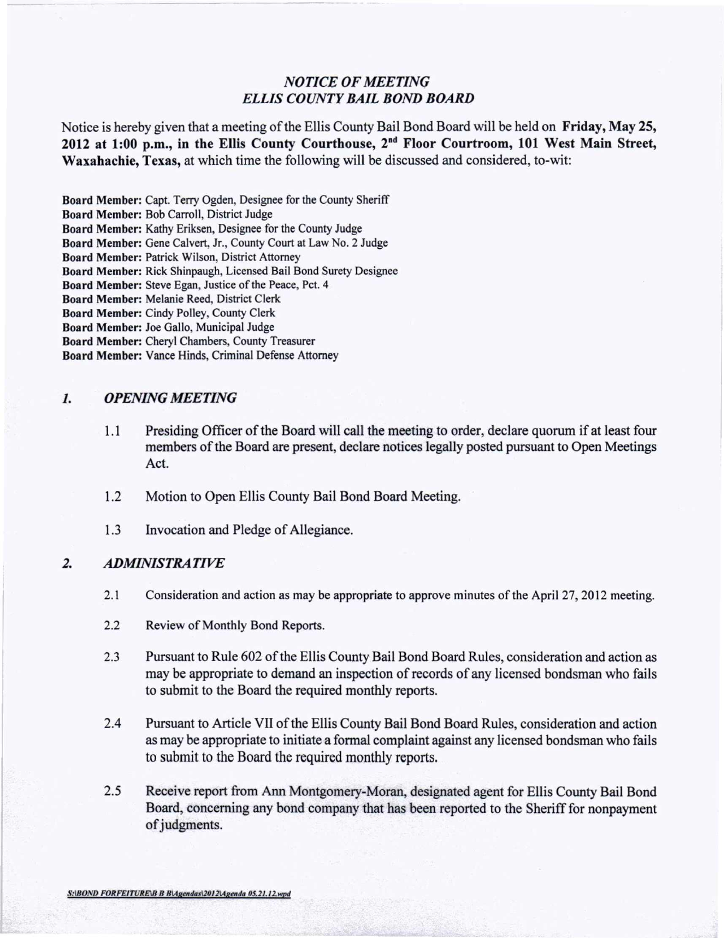## *NOTICE OF MEETING ELLIS COUNTY BAIL BOND BOARD*

Notice is hereby given that a meeting of the Ellis County Bail Bond Board will be held on Friday, May 25, 2012 at 1:00 p.m., in the Ellis County Courthouse, 2<sup>nd</sup> Floor Courtroom, 101 West Main Street Waxahachie, Texas, at which time the following will be discussed and considered, to-wit:

Board Member: Capt. Terry Ogden, Designee for the County Sheriff

Board Member: Bob Carroll, District Judge

Board Member: Kathy Eriksen, Designee for the County Judge

Board Member: Gene Calvert, Jr., County Court at Law No.2 Judge

Board Member: Patrick Wilson, District Attorney

Board Member: Rick Shinpaugh, Licensed Bail Bond Surety Designee

Board Member: Steve Egan, Justice of the Peace, Pet. 4

Board Member: Melanie Reed, District Clerk

Board Member: Cindy Polley, County Clerk

Board Member: Joe Gallo, Municipal Judge

Board Member: Cheryl Chambers, County Treasurer

Board Member: Vance Hinds, Criminal Defense Attorney

## *1. OPENING MEETING*

- 1.1 Presiding Officer of the Board will call the meeting to order, declare quorum if at least four members of the Board are present, declare notices legally posted pursuant to Open Meetings Act.
- 1.2 Motion to Open Ellis County Bail Bond Board Meeting.
- 1.3 Invocation and Pledge of Allegiance.

## *2. ADMINISTRATIVE*

- 2.1 Consideration and action as may be appropriate to approve minutes of the April 27, 2012 meeting.
- 2.2 Review of Monthly Bond Reports.
- 2.3 Pursuant to Rule 602 of the Ellis County Bail Bond Board Rules, consideration and action as may be appropriate to demand an inspection of records of any licensed bondsman who fails to submit to the Board the required monthly reports.
- 2.4 Pursuant to Article VII of the Ellis County Bail Bond Board Rules, consideration and action as may be appropriate to initiate a formal complaint against any licensed bondsman who fails to submit to the Board the required monthly reports.
- 2.5 Receive report from Ann Montgomery-Moran, designated agent for Ellis County Bail Bond Board, concerning any bond company that has been reported to the Sheriff for nonpayment of judgments.